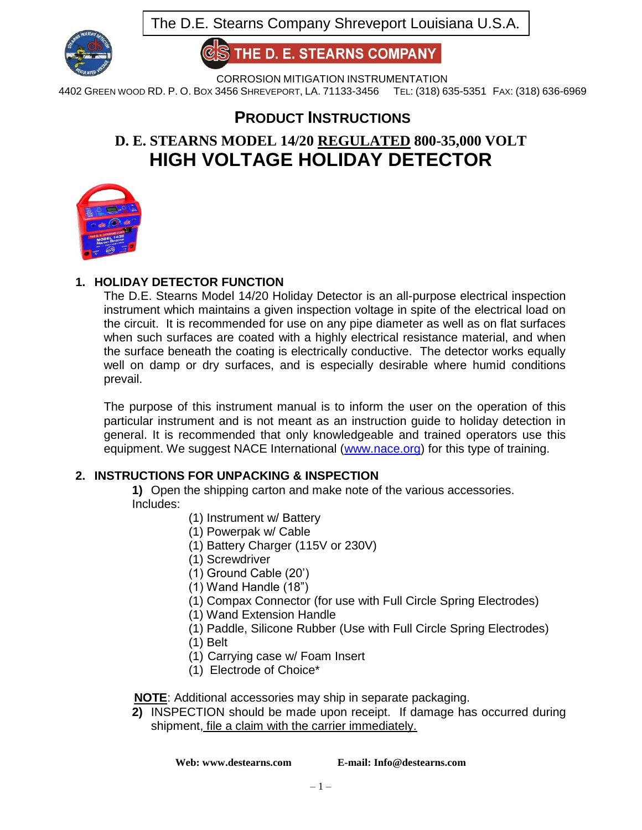

**HE D. E. STEARNS COMPANY** 

CORROSION MITIGATION INSTRUMENTATION

4402 GREEN WOOD RD. P. O. BOX 3456 SHREVEPORT, LA. 71133-3456 TEL: (318) 635-5351 FAX: (318) 636-6969

## **PRODUCT INSTRUCTIONS**

# **D. E. STEARNS MODEL 14/20 REGULATED 800-35,000 VOLT HIGH VOLTAGE HOLIDAY DETECTOR**



## **1. HOLIDAY DETECTOR FUNCTION**

The D.E. Stearns Model 14/20 Holiday Detector is an all-purpose electrical inspection instrument which maintains a given inspection voltage in spite of the electrical load on the circuit. It is recommended for use on any pipe diameter as well as on flat surfaces when such surfaces are coated with a highly electrical resistance material, and when the surface beneath the coating is electrically conductive. The detector works equally well on damp or dry surfaces, and is especially desirable where humid conditions prevail.

The purpose of this instrument manual is to inform the user on the operation of this particular instrument and is not meant as an instruction guide to holiday detection in general. It is recommended that only knowledgeable and trained operators use this equipment. We suggest NACE International [\(www.nace.org\)](http://www.nace.org/) for this type of training.

## **2. INSTRUCTIONS FOR UNPACKING & INSPECTION**

**1)** Open the shipping carton and make note of the various accessories. Includes:

- (1) Instrument w/ Battery
- (1) Powerpak w/ Cable
- (1) Battery Charger (115V or 230V)
- (1) Screwdriver
- (1) Ground Cable (20')
- (1) Wand Handle (18")
- (1) Compax Connector (for use with Full Circle Spring Electrodes)
- (1) Wand Extension Handle
- (1) Paddle, Silicone Rubber (Use with Full Circle Spring Electrodes)
- (1) Belt
- (1) Carrying case w/ Foam Insert
- (1) Electrode of Choice\*

 **NOTE**: Additional accessories may ship in separate packaging.

**2)** INSPECTION should be made upon receipt. If damage has occurred during shipment, file a claim with the carrier immediately.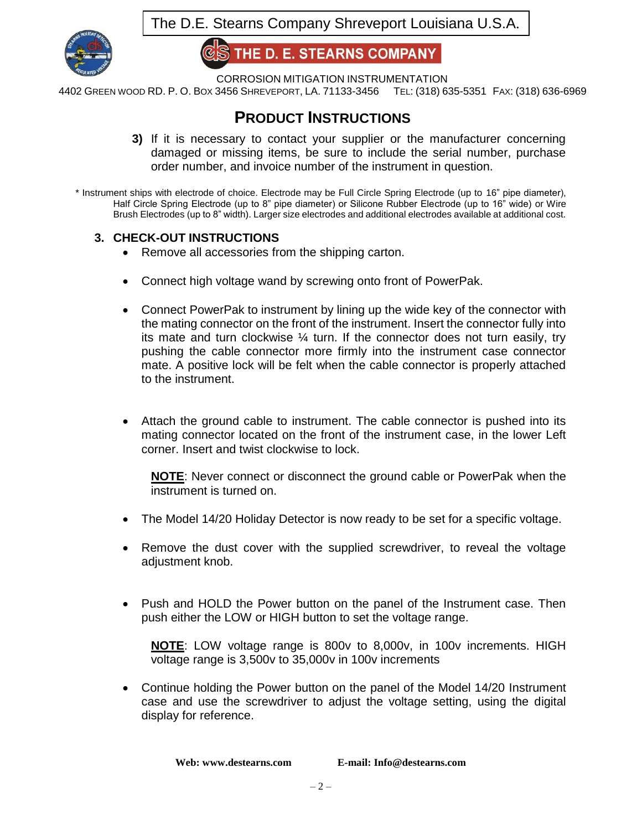

**HE D. E. STEARNS COMPANY** 

CORROSION MITIGATION INSTRUMENTATION

4402 GREEN WOOD RD. P. O. BOX 3456 SHREVEPORT, LA. 71133-3456 TEL: (318) 635-5351 FAX: (318) 636-6969

## **PRODUCT INSTRUCTIONS**

- **3)** If it is necessary to contact your supplier or the manufacturer concerning damaged or missing items, be sure to include the serial number, purchase order number, and invoice number of the instrument in question.
- \* Instrument ships with electrode of choice. Electrode may be Full Circle Spring Electrode (up to 16" pipe diameter), Half Circle Spring Electrode (up to 8" pipe diameter) or Silicone Rubber Electrode (up to 16" wide) or Wire Brush Electrodes (up to 8" width). Larger size electrodes and additional electrodes available at additional cost.

## **3. CHECK-OUT INSTRUCTIONS**

- Remove all accessories from the shipping carton.
- Connect high voltage wand by screwing onto front of PowerPak.
- Connect PowerPak to instrument by lining up the wide key of the connector with the mating connector on the front of the instrument. Insert the connector fully into its mate and turn clockwise  $\frac{1}{4}$  turn. If the connector does not turn easily, try pushing the cable connector more firmly into the instrument case connector mate. A positive lock will be felt when the cable connector is properly attached to the instrument.
- Attach the ground cable to instrument. The cable connector is pushed into its mating connector located on the front of the instrument case, in the lower Left corner. Insert and twist clockwise to lock.

**NOTE**: Never connect or disconnect the ground cable or PowerPak when the instrument is turned on.

- The Model 14/20 Holiday Detector is now ready to be set for a specific voltage.
- Remove the dust cover with the supplied screwdriver, to reveal the voltage adjustment knob.
- Push and HOLD the Power button on the panel of the Instrument case. Then push either the LOW or HIGH button to set the voltage range.

**NOTE**: LOW voltage range is 800v to 8,000v, in 100v increments. HIGH voltage range is 3,500v to 35,000v in 100v increments

 Continue holding the Power button on the panel of the Model 14/20 Instrument case and use the screwdriver to adjust the voltage setting, using the digital display for reference.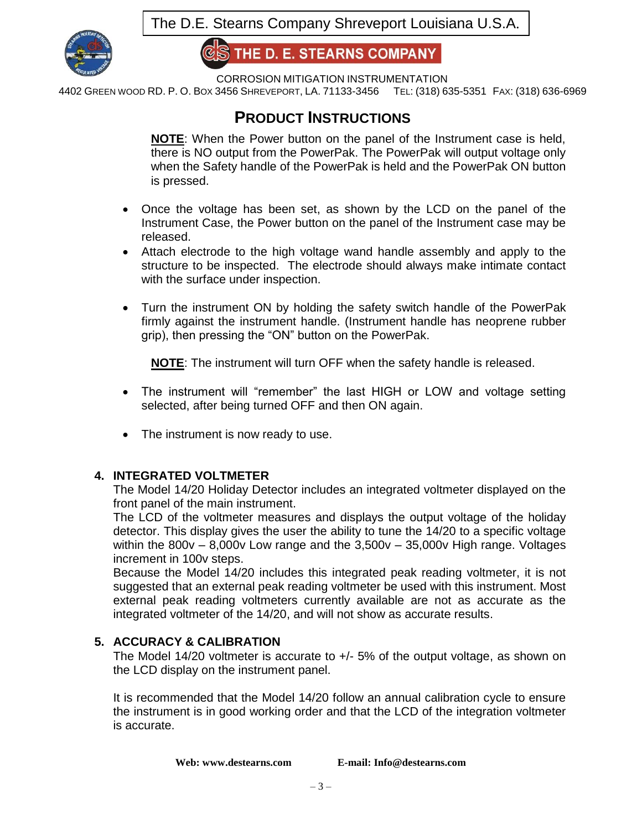

**HE D. E. STEARNS COMPANY** 

CORROSION MITIGATION INSTRUMENTATION

4402 GREEN WOOD RD. P. O. BOX 3456 SHREVEPORT, LA. 71133-3456 TEL: (318) 635-5351 FAX: (318) 636-6969

## **PRODUCT INSTRUCTIONS**

**NOTE**: When the Power button on the panel of the Instrument case is held, there is NO output from the PowerPak. The PowerPak will output voltage only when the Safety handle of the PowerPak is held and the PowerPak ON button is pressed.

- Once the voltage has been set, as shown by the LCD on the panel of the Instrument Case, the Power button on the panel of the Instrument case may be released.
- Attach electrode to the high voltage wand handle assembly and apply to the structure to be inspected. The electrode should always make intimate contact with the surface under inspection.
- Turn the instrument ON by holding the safety switch handle of the PowerPak firmly against the instrument handle. (Instrument handle has neoprene rubber grip), then pressing the "ON" button on the PowerPak.

**NOTE**: The instrument will turn OFF when the safety handle is released.

- The instrument will "remember" the last HIGH or LOW and voltage setting selected, after being turned OFF and then ON again.
- The instrument is now ready to use.

## **4. INTEGRATED VOLTMETER**

The Model 14/20 Holiday Detector includes an integrated voltmeter displayed on the front panel of the main instrument.

The LCD of the voltmeter measures and displays the output voltage of the holiday detector. This display gives the user the ability to tune the 14/20 to a specific voltage within the  $800v - 8,000v$  Low range and the  $3,500v - 35,000v$  High range. Voltages increment in 100v steps.

Because the Model 14/20 includes this integrated peak reading voltmeter, it is not suggested that an external peak reading voltmeter be used with this instrument. Most external peak reading voltmeters currently available are not as accurate as the integrated voltmeter of the 14/20, and will not show as accurate results.

#### **5. ACCURACY & CALIBRATION**

The Model 14/20 voltmeter is accurate to +/- 5% of the output voltage, as shown on the LCD display on the instrument panel.

It is recommended that the Model 14/20 follow an annual calibration cycle to ensure the instrument is in good working order and that the LCD of the integration voltmeter is accurate.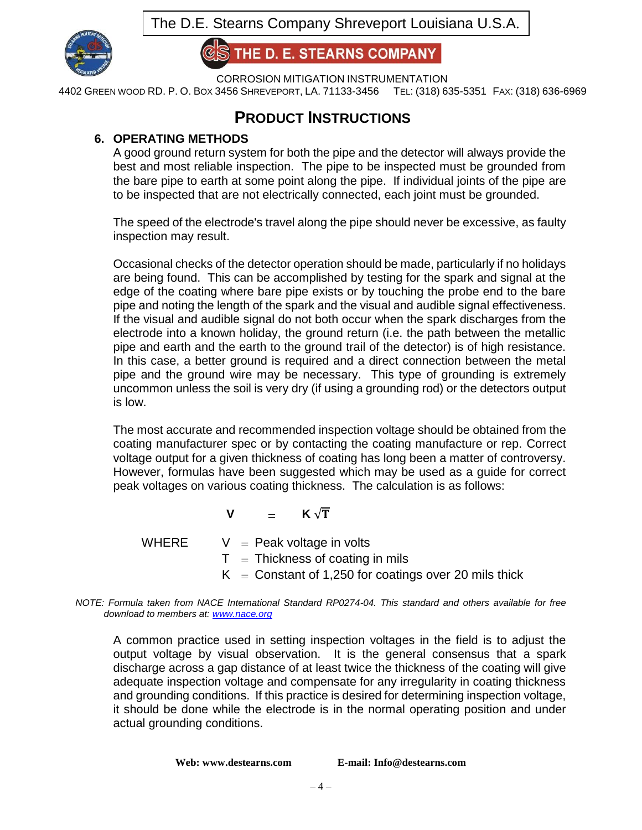

**IE D. E. STEARNS COMPANY** 

CORROSION MITIGATION INSTRUMENTATION

4402 GREEN WOOD RD. P. O. BOX 3456 SHREVEPORT, LA. 71133-3456 TEL: (318) 635-5351 FAX: (318) 636-6969

## **PRODUCT INSTRUCTIONS**

## **6. OPERATING METHODS**

A good ground return system for both the pipe and the detector will always provide the best and most reliable inspection. The pipe to be inspected must be grounded from the bare pipe to earth at some point along the pipe. If individual joints of the pipe are to be inspected that are not electrically connected, each joint must be grounded.

The speed of the electrode's travel along the pipe should never be excessive, as faulty inspection may result.

Occasional checks of the detector operation should be made, particularly if no holidays are being found. This can be accomplished by testing for the spark and signal at the edge of the coating where bare pipe exists or by touching the probe end to the bare pipe and noting the length of the spark and the visual and audible signal effectiveness. If the visual and audible signal do not both occur when the spark discharges from the electrode into a known holiday, the ground return (i.e. the path between the metallic pipe and earth and the earth to the ground trail of the detector) is of high resistance. In this case, a better ground is required and a direct connection between the metal pipe and the ground wire may be necessary. This type of grounding is extremely uncommon unless the soil is very dry (if using a grounding rod) or the detectors output is low.

The most accurate and recommended inspection voltage should be obtained from the coating manufacturer spec or by contacting the coating manufacture or rep. Correct voltage output for a given thickness of coating has long been a matter of controversy. However, formulas have been suggested which may be used as a guide for correct peak voltages on various coating thickness. The calculation is as follows:

## $V =$ **K** $\sqrt{T}$

WHERE  $V =$  Peak voltage in volts

- $T = Thichness of coating in mils$
- $K =$  Constant of 1,250 for coatings over 20 mils thick

*NOTE: Formula taken from NACE International Standard RP0274-04. This standard and others available for free download to members at[: www.nace.org](http://www.nace.org/)*

A common practice used in setting inspection voltages in the field is to adjust the output voltage by visual observation. It is the general consensus that a spark discharge across a gap distance of at least twice the thickness of the coating will give adequate inspection voltage and compensate for any irregularity in coating thickness and grounding conditions. If this practice is desired for determining inspection voltage, it should be done while the electrode is in the normal operating position and under actual grounding conditions.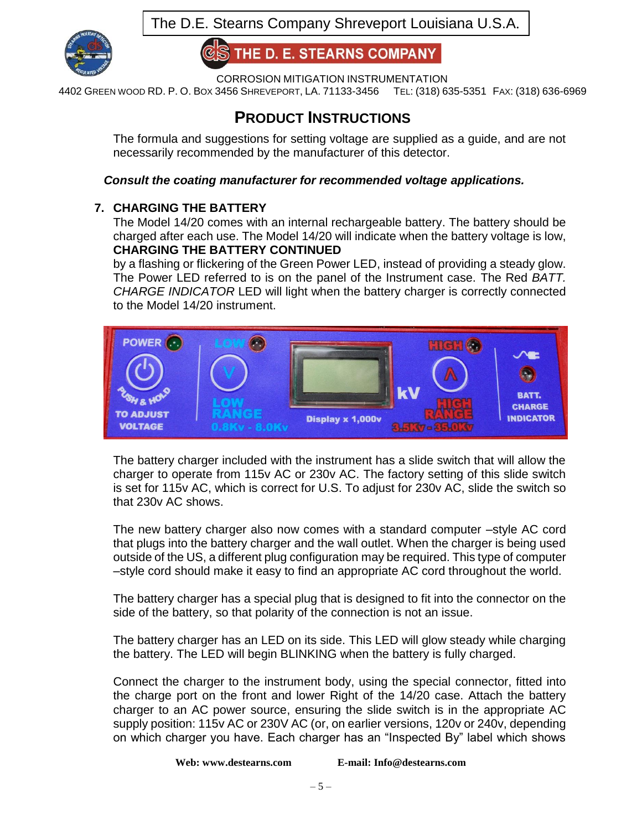

**HE D. E. STEARNS COMPANY** 

CORROSION MITIGATION INSTRUMENTATION

4402 GREEN WOOD RD. P. O. BOX 3456 SHREVEPORT, LA. 71133-3456 TEL: (318) 635-5351 FAX: (318) 636-6969

# **PRODUCT INSTRUCTIONS**

The formula and suggestions for setting voltage are supplied as a guide, and are not necessarily recommended by the manufacturer of this detector.

## *Consult the coating manufacturer for recommended voltage applications.*

## **7. CHARGING THE BATTERY**

The Model 14/20 comes with an internal rechargeable battery. The battery should be charged after each use. The Model 14/20 will indicate when the battery voltage is low, **CHARGING THE BATTERY CONTINUED**

by a flashing or flickering of the Green Power LED, instead of providing a steady glow. The Power LED referred to is on the panel of the Instrument case. The Red *BATT. CHARGE INDICATOR* LED will light when the battery charger is correctly connected to the Model 14/20 instrument.



The battery charger included with the instrument has a slide switch that will allow the charger to operate from 115v AC or 230v AC. The factory setting of this slide switch is set for 115v AC, which is correct for U.S. To adjust for 230v AC, slide the switch so that 230v AC shows.

The new battery charger also now comes with a standard computer –style AC cord that plugs into the battery charger and the wall outlet. When the charger is being used outside of the US, a different plug configuration may be required. This type of computer –style cord should make it easy to find an appropriate AC cord throughout the world.

The battery charger has a special plug that is designed to fit into the connector on the side of the battery, so that polarity of the connection is not an issue.

The battery charger has an LED on its side. This LED will glow steady while charging the battery. The LED will begin BLINKING when the battery is fully charged.

Connect the charger to the instrument body, using the special connector, fitted into the charge port on the front and lower Right of the 14/20 case. Attach the battery charger to an AC power source, ensuring the slide switch is in the appropriate AC supply position: 115v AC or 230V AC (or, on earlier versions, 120v or 240v, depending on which charger you have. Each charger has an "Inspected By" label which shows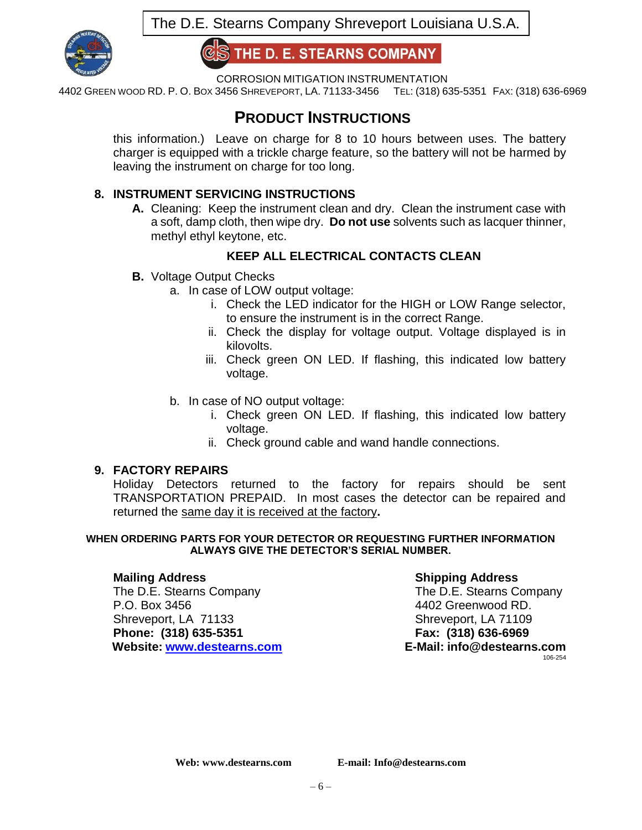

**HE D. E. STEARNS COMPANY** 

CORROSION MITIGATION INSTRUMENTATION

4402 GREEN WOOD RD. P. O. BOX 3456 SHREVEPORT, LA. 71133-3456 TEL: (318) 635-5351 FAX: (318) 636-6969

## **PRODUCT INSTRUCTIONS**

this information.) Leave on charge for 8 to 10 hours between uses. The battery charger is equipped with a trickle charge feature, so the battery will not be harmed by leaving the instrument on charge for too long.

## **8. INSTRUMENT SERVICING INSTRUCTIONS**

**A.** Cleaning: Keep the instrument clean and dry. Clean the instrument case with a soft, damp cloth, then wipe dry. **Do not use** solvents such as lacquer thinner, methyl ethyl keytone, etc.

## **KEEP ALL ELECTRICAL CONTACTS CLEAN**

- **B.** Voltage Output Checks
	- a. In case of LOW output voltage:
		- i. Check the LED indicator for the HIGH or LOW Range selector, to ensure the instrument is in the correct Range.
		- ii. Check the display for voltage output. Voltage displayed is in kilovolts.
		- iii. Check green ON LED. If flashing, this indicated low battery voltage.
	- b. In case of NO output voltage:
		- i. Check green ON LED. If flashing, this indicated low battery voltage.
		- ii. Check ground cable and wand handle connections.

## **9. FACTORY REPAIRS**

Holiday Detectors returned to the factory for repairs should be sent TRANSPORTATION PREPAID. In most cases the detector can be repaired and returned the same day it is received at the factory**.**

#### **WHEN ORDERING PARTS FOR YOUR DETECTOR OR REQUESTING FURTHER INFORMATION ALWAYS GIVE THE DETECTOR'S SERIAL NUMBER.**

The D.E. Stearns Company The D.E. Stearns Company P.O. Box 3456 **4402 Greenwood RD.** Shreveport, LA 71133 Shreveport, LA 71109 **Phone: (318) 635-5351 Fax: (318) 636-6969 Website: [www.destearns.com](http://www.destearns.com/) E-Mail: info@destearns.com**

## **Mailing Address Shipping Address**

106-254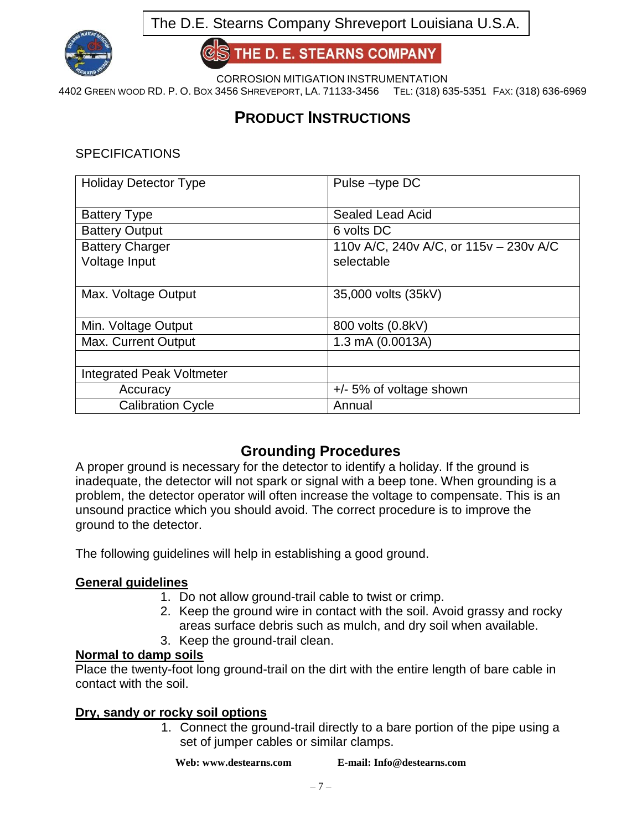

THE D. E. STEARNS COMPANY

CORROSION MITIGATION INSTRUMENTATION

4402 GREEN WOOD RD. P. O. BOX 3456 SHREVEPORT, LA. 71133-3456 TEL: (318) 635-5351 FAX: (318) 636-6969

# **PRODUCT INSTRUCTIONS**

**SPECIFICATIONS** 

| <b>Holiday Detector Type</b>     | Pulse-type DC                          |
|----------------------------------|----------------------------------------|
|                                  |                                        |
| <b>Battery Type</b>              | <b>Sealed Lead Acid</b>                |
| <b>Battery Output</b>            | 6 volts DC                             |
| <b>Battery Charger</b>           | 110v A/C, 240v A/C, or 115v - 230v A/C |
| Voltage Input                    | selectable                             |
|                                  |                                        |
| Max. Voltage Output              | 35,000 volts (35kV)                    |
|                                  |                                        |
| Min. Voltage Output              | 800 volts (0.8kV)                      |
| <b>Max. Current Output</b>       | 1.3 mA (0.0013A)                       |
|                                  |                                        |
| <b>Integrated Peak Voltmeter</b> |                                        |
| Accuracy                         | $+/- 5\%$ of voltage shown             |
| <b>Calibration Cycle</b>         | Annual                                 |

## **Grounding Procedures**

A proper ground is necessary for the detector to identify a holiday. If the ground is inadequate, the detector will not spark or signal with a beep tone. When grounding is a problem, the detector operator will often increase the voltage to compensate. This is an unsound practice which you should avoid. The correct procedure is to improve the ground to the detector.

The following guidelines will help in establishing a good ground.

## **General guidelines**

- 1. Do not allow ground-trail cable to twist or crimp.
- 2. Keep the ground wire in contact with the soil. Avoid grassy and rocky areas surface debris such as mulch, and dry soil when available.
- 3. Keep the ground-trail clean.

## **Normal to damp soils**

Place the twenty-foot long ground-trail on the dirt with the entire length of bare cable in contact with the soil.

## **Dry, sandy or rocky soil options**

1. Connect the ground-trail directly to a bare portion of the pipe using a set of jumper cables or similar clamps.